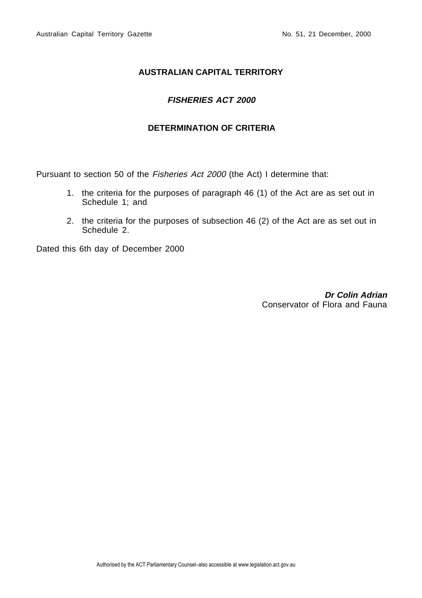# **AUSTRALIAN CAPITAL TERRITORY**

# **FISHERIES ACT 2000**

## **DETERMINATION OF CRITERIA**

Pursuant to section 50 of the Fisheries Act 2000 (the Act) I determine that:

- 1. the criteria for the purposes of paragraph 46 (1) of the Act are as set out in Schedule 1; and
- 2. the criteria for the purposes of subsection 46 (2) of the Act are as set out in Schedule 2.

Dated this 6th day of December 2000

**Dr Colin Adrian** Conservator of Flora and Fauna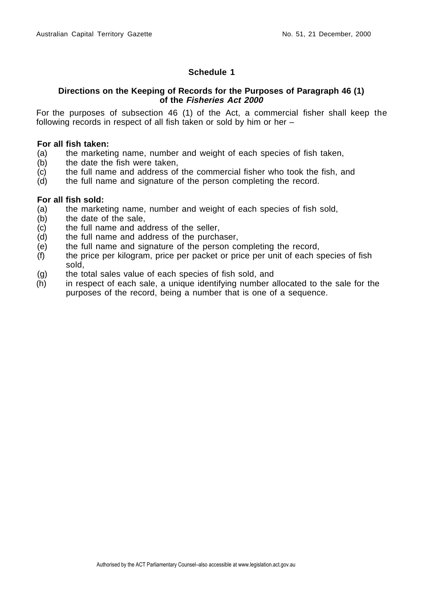### **Schedule 1**

### **Directions on the Keeping of Records for the Purposes of Paragraph 46 (1) of the Fisheries Act 2000**

For the purposes of subsection 46 (1) of the Act, a commercial fisher shall keep the following records in respect of all fish taken or sold by him or her –

#### **For all fish taken:**

- (a) the marketing name, number and weight of each species of fish taken,  $(b)$  the date the fish were taken.
- the date the fish were taken.
- (c) the full name and address of the commercial fisher who took the fish, and
- (d) the full name and signature of the person completing the record.

#### **For all fish sold:**

- (a) the marketing name, number and weight of each species of fish sold,
- (b) the date of the sale,
- (c) the full name and address of the seller,
- (d) the full name and address of the purchaser,
- (e) the full name and signature of the person completing the record,
- (f) the price per kilogram, price per packet or price per unit of each species of fish sold,
- (g) the total sales value of each species of fish sold, and
- (h) in respect of each sale, a unique identifying number allocated to the sale for the purposes of the record, being a number that is one of a sequence.